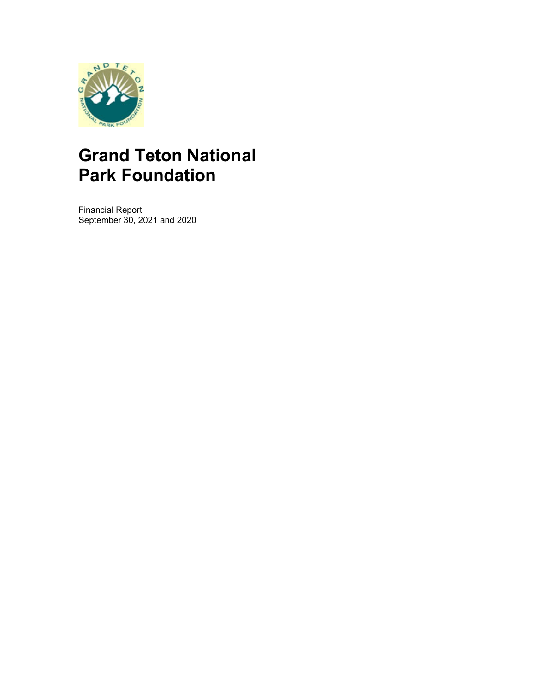

Financial Report September 30, 2021 and 2020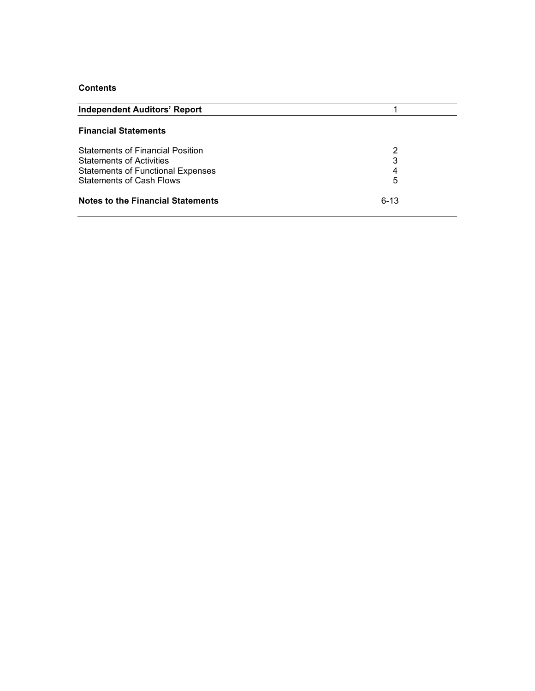# **Contents**

| <b>Independent Auditors' Report</b>      |          |
|------------------------------------------|----------|
| <b>Financial Statements</b>              |          |
| <b>Statements of Financial Position</b>  | 2        |
| <b>Statements of Activities</b>          | 3        |
| <b>Statements of Functional Expenses</b> | 4        |
| <b>Statements of Cash Flows</b>          | 5        |
| Notes to the Financial Statements        | $6 - 13$ |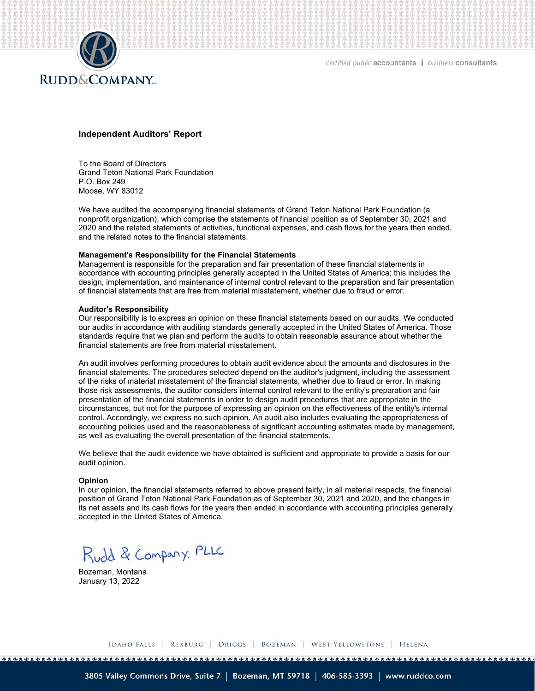

certified public accountants | business consultants

#### Independent Auditors' Report

To the Board of Directors Grand Teton National Park Foundation P.O. Box 249 Moose, WY 83012

We have audited the accompanying financial statements of Grand Teton National Park Foundation (a nonprofit organization), which comprise the statements of financial position as of September 30, 2021 and 2020 and the related statements of activities, functional expenses, and cash flows for the years then ended, and the related notes to the financial statements.

#### Management's Responsibility for the Financial Statements

Management is responsible for the preparation and fair presentation of these financial statements in accordance with accounting principles generally accepted in the United States of America; this includes the design, implementation, and maintenance of internal control relevant to the preparation and fair presentation of financial statements that are free from material misstatement, whether due to fraud or error.

#### Auditor's Responsibility

Our responsibility is to express an opinion on these financial statements based on our audits. We conducted our audits in accordance with auditing standards generally accepted in the United States of America. Those standards require that we plan and perform the audits to obtain reasonable assurance about whether the financial statements are free from material misstatement.

An audit involves performing procedures to obtain audit evidence about the amounts and disclosures in the financial statements. The procedures selected depend on the auditor's judgment, including the assessment of the risks of material misstatement of the financial statements, whether due to fraud or error. In making those risk assessments, the auditor considers internal control relevant to the entity's preparation and fair presentation of the financial statements in order to design audit procedures that are appropriate in the circumstances, but not for the purpose of expressing an opinion on the effectiveness of the entity's internal control. Accordingly, we express no such opinion. An audit also includes evaluating the appropriateness of accounting policies used and the reasonableness of significant accounting estimates made by management, as well as evaluating the overall presentation of the financial statements.

We believe that the audit evidence we have obtained is sufficient and appropriate to provide a basis for our audit opinion.

#### Opinion

In our opinion, the financial statements referred to above present fairly, in all material respects, the financial position of Grand Teton National Park Foundation as of September 30, 2021 and 2020, and the changes in its net assets and its cash flows for the years then ended in accordance with accounting principles generally accepted in the United States of America.

Rudd & Company, PLLC

Bozeman, Montana January 13, 2022

IDAHO FALLS | REXBURG | DRIGGS | BOZEMAN | WEST YELLOWSTONE | HELENA

1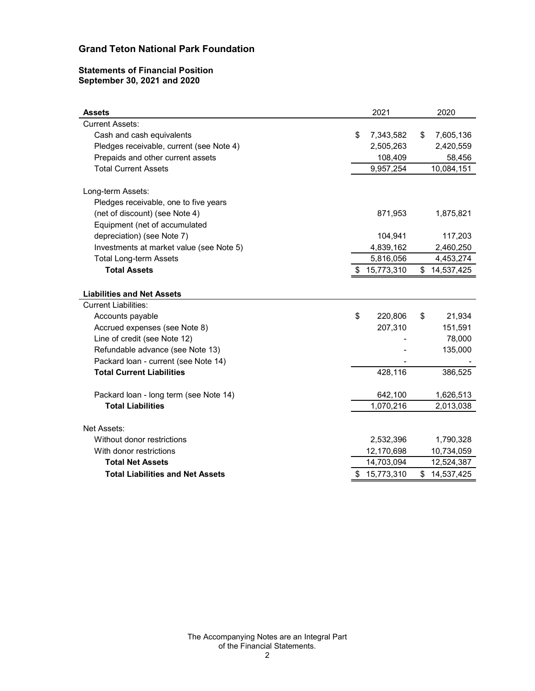### Statements of Financial Position September 30, 2021 and 2020

| <b>Grand Teton National Park Foundation</b>                      |                          |    |                      |
|------------------------------------------------------------------|--------------------------|----|----------------------|
|                                                                  |                          |    |                      |
|                                                                  |                          |    |                      |
|                                                                  |                          |    |                      |
|                                                                  |                          |    |                      |
|                                                                  |                          |    |                      |
|                                                                  |                          |    |                      |
|                                                                  |                          |    |                      |
|                                                                  |                          |    |                      |
| <b>Statements of Financial Position</b>                          |                          |    |                      |
| September 30, 2021 and 2020                                      |                          |    |                      |
|                                                                  |                          |    |                      |
| <b>Assets</b>                                                    | 2021                     |    | 2020                 |
| <b>Current Assets:</b>                                           |                          |    |                      |
| Cash and cash equivalents                                        | \$<br>7,343,582          | S  | 7,605,136            |
| Pledges receivable, current (see Note 4)                         | 2,505,263                |    | 2,420,559            |
| Prepaids and other current assets<br><b>Total Current Assets</b> | 108,409<br>9,957,254     |    | 58,456<br>10,084,151 |
|                                                                  |                          |    |                      |
| Long-term Assets:                                                |                          |    |                      |
| Pledges receivable, one to five years                            |                          |    |                      |
| (net of discount) (see Note 4)                                   | 871,953                  |    | 1,875,821            |
| Equipment (net of accumulated<br>depreciation) (see Note 7)      | 104,941                  |    | 117,203              |
| Investments at market value (see Note 5)                         | 4,839,162                |    | 2,460,250            |
| Total Long-term Assets                                           | 5,816,056                |    | 4,453,274            |
| <b>Total Assets</b>                                              | \$15,773,310             |    | \$14,537,425         |
|                                                                  |                          |    |                      |
| <b>Liabilities and Net Assets</b>                                |                          |    |                      |
| <b>Current Liabilities:</b>                                      | \$                       |    |                      |
| Accounts payable<br>Accrued expenses (see Note 8)                | 220,806<br>207,310       | \$ | 21,934<br>151,591    |
| Line of credit (see Note 12)                                     |                          |    | 78,000               |
| Refundable advance (see Note 13)                                 |                          |    | 135,000              |
| Packard Ioan - current (see Note 14)                             |                          |    |                      |
| <b>Total Current Liabilities</b>                                 | 428,116                  |    | 386,525              |
| Packard Ioan - long term (see Note 14)                           | 642,100                  |    | 1,626,513            |
| <b>Total Liabilities</b>                                         | 1,070,216                |    | 2,013,038            |
|                                                                  |                          |    |                      |
| Net Assets:                                                      |                          |    |                      |
| Without donor restrictions                                       | 2,532,396                |    | 1,790,328            |
| With donor restrictions                                          | 12,170,698<br>14,703,094 |    | 10,734,059           |
| <b>Total Net Assets</b>                                          |                          |    | 12,524,387           |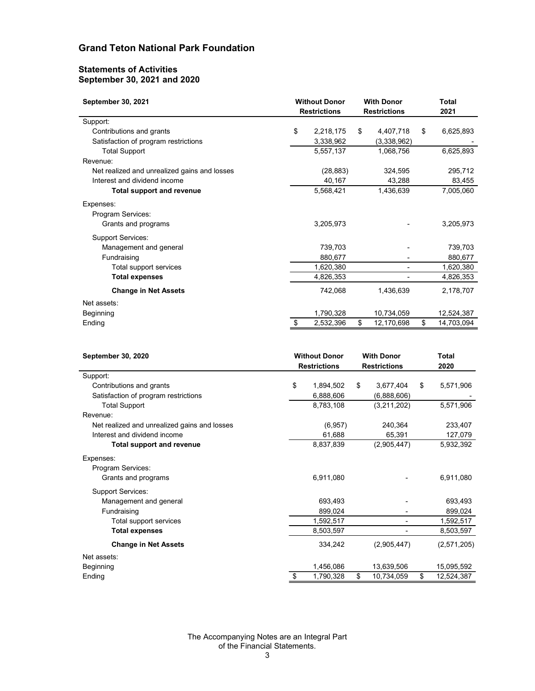#### Statements of Activities September 30, 2021 and 2020

| <b>Grand Teton National Park Foundation</b>                      |     |                                             |                                          |                      |
|------------------------------------------------------------------|-----|---------------------------------------------|------------------------------------------|----------------------|
| <b>Statements of Activities</b>                                  |     |                                             |                                          |                      |
| September 30, 2021 and 2020                                      |     |                                             |                                          |                      |
| September 30, 2021                                               |     | <b>Without Donor</b><br><b>Restrictions</b> | <b>With Donor</b><br><b>Restrictions</b> | <b>Total</b><br>2021 |
| Support:                                                         |     |                                             |                                          |                      |
| Contributions and grants<br>Satisfaction of program restrictions | \$. | 2,218,175<br>3,338,962                      | \$<br>4,407,718<br>(3,338,962)           | \$<br>6,625,893      |
| <b>Total Support</b>                                             |     | 5,557,137                                   | 1,068,756                                | 6,625,893            |
| Revenue:                                                         |     |                                             |                                          |                      |
| Net realized and unrealized gains and losses                     |     | (28, 883)                                   | 324,595                                  | 295,712              |
| Interest and dividend income<br><b>Total support and revenue</b> |     | 40,167<br>5,568,421                         | 43,288<br>1,436,639                      | 83,455<br>7,005,060  |
|                                                                  |     |                                             |                                          |                      |
| Expenses:<br>Program Services:                                   |     |                                             |                                          |                      |
| Grants and programs                                              |     | 3,205,973                                   |                                          | 3,205,973            |
| Support Services:                                                |     |                                             |                                          |                      |
| Management and general                                           |     | 739,703                                     |                                          | 739,703              |
| Fundraising                                                      |     | 880,677                                     | $\overline{\phantom{a}}$                 | 880,677              |
| Total support services                                           |     | 1,620,380                                   | $\sim$                                   | 1,620,380            |
| <b>Total expenses</b>                                            |     | 4,826,353                                   | $\blacksquare$                           | 4,826,353            |
| <b>Change in Net Assets</b>                                      |     | 742,068                                     | 1,436,639                                | 2,178,707            |
| Net assets:                                                      |     |                                             |                                          |                      |
| Beginning                                                        |     | 1,790,328                                   | 10,734,059                               | 12,524,387           |
| Ending                                                           | \$  | 2,532,396                                   | \$<br>12,170,698                         | \$<br>14,703,094     |
| September 30, 2020                                               |     | <b>Without Donor</b>                        | <b>With Donor</b>                        | <b>Total</b>         |
|                                                                  |     | <b>Restrictions</b>                         | <b>Restrictions</b>                      | 2020                 |
| Support:                                                         |     |                                             |                                          |                      |
| Contributions and grants<br>Satisfaction of program restrictions | \$  | 1,894,502<br>6,888,606                      | \$<br>3,677,404<br>(6,888,606)           | \$<br>5,571,906      |
| <b>Total Support</b>                                             |     | 8,783,108                                   | (3,211,202)                              | 5,571,906            |
| Revenue:                                                         |     |                                             |                                          |                      |
| Net realized and unrealized gains and losses                     |     | (6, 957)                                    | 240,364                                  | 233,407              |
| Interest and dividend income                                     |     | 61,688                                      | 65,391                                   | 127,079              |
| <b>Total support and revenue</b>                                 |     | 8,837,839                                   | (2,905,447)                              | 5,932,392            |
| Expenses:                                                        |     |                                             |                                          |                      |
| Program Services:<br>Grants and programs                         |     | 6,911,080                                   |                                          |                      |
|                                                                  |     |                                             |                                          | 6,911,080            |

| Program Services:<br>Grants and programs<br>3,205,973<br>3,205,973<br><b>Support Services:</b><br>739,703<br>Management and general<br>739,703<br>-<br>880,677<br>Fundraising<br>880,677<br>٠<br>1,620,380<br>1,620,380<br>Total support services<br>$\blacksquare$<br>4,826,353<br><b>Total expenses</b><br>4,826,353<br>ä,<br>742,068<br><b>Change in Net Assets</b><br>1,436,639<br>2,178,707<br>Net assets:<br>Beginning<br>1,790,328<br>10,734,059<br>12,524,387<br>\$<br>12,170,698<br>\$<br>\$<br>2,532,396<br>14,703,094<br>Ending<br><b>Without Donor</b><br><b>With Donor</b><br><b>Total</b><br>September 30, 2020<br>2020<br><b>Restrictions</b><br><b>Restrictions</b><br>Support:<br>Contributions and grants<br>\$<br>1,894,502<br>\$<br>3,677,404<br>\$<br>5,571,906<br>Satisfaction of program restrictions<br>6,888,606<br>(6,888,606)<br><b>Total Support</b><br>8,783,108<br>(3,211,202)<br>5,571,906<br>Revenue:<br>233,407<br>Net realized and unrealized gains and losses<br>240,364<br>(6, 957)<br>Interest and dividend income<br>61,688<br>65,391<br>127,079<br>8,837,839<br>(2,905,447)<br>5,932,392<br><b>Total support and revenue</b><br>Expenses:<br>Program Services:<br>6,911,080<br>6,911,080<br>Grants and programs |
|--------------------------------------------------------------------------------------------------------------------------------------------------------------------------------------------------------------------------------------------------------------------------------------------------------------------------------------------------------------------------------------------------------------------------------------------------------------------------------------------------------------------------------------------------------------------------------------------------------------------------------------------------------------------------------------------------------------------------------------------------------------------------------------------------------------------------------------------------------------------------------------------------------------------------------------------------------------------------------------------------------------------------------------------------------------------------------------------------------------------------------------------------------------------------------------------------------------------------------------------------------|
|                                                                                                                                                                                                                                                                                                                                                                                                                                                                                                                                                                                                                                                                                                                                                                                                                                                                                                                                                                                                                                                                                                                                                                                                                                                        |
|                                                                                                                                                                                                                                                                                                                                                                                                                                                                                                                                                                                                                                                                                                                                                                                                                                                                                                                                                                                                                                                                                                                                                                                                                                                        |
|                                                                                                                                                                                                                                                                                                                                                                                                                                                                                                                                                                                                                                                                                                                                                                                                                                                                                                                                                                                                                                                                                                                                                                                                                                                        |
|                                                                                                                                                                                                                                                                                                                                                                                                                                                                                                                                                                                                                                                                                                                                                                                                                                                                                                                                                                                                                                                                                                                                                                                                                                                        |
|                                                                                                                                                                                                                                                                                                                                                                                                                                                                                                                                                                                                                                                                                                                                                                                                                                                                                                                                                                                                                                                                                                                                                                                                                                                        |
|                                                                                                                                                                                                                                                                                                                                                                                                                                                                                                                                                                                                                                                                                                                                                                                                                                                                                                                                                                                                                                                                                                                                                                                                                                                        |
|                                                                                                                                                                                                                                                                                                                                                                                                                                                                                                                                                                                                                                                                                                                                                                                                                                                                                                                                                                                                                                                                                                                                                                                                                                                        |
|                                                                                                                                                                                                                                                                                                                                                                                                                                                                                                                                                                                                                                                                                                                                                                                                                                                                                                                                                                                                                                                                                                                                                                                                                                                        |
|                                                                                                                                                                                                                                                                                                                                                                                                                                                                                                                                                                                                                                                                                                                                                                                                                                                                                                                                                                                                                                                                                                                                                                                                                                                        |
|                                                                                                                                                                                                                                                                                                                                                                                                                                                                                                                                                                                                                                                                                                                                                                                                                                                                                                                                                                                                                                                                                                                                                                                                                                                        |
|                                                                                                                                                                                                                                                                                                                                                                                                                                                                                                                                                                                                                                                                                                                                                                                                                                                                                                                                                                                                                                                                                                                                                                                                                                                        |
|                                                                                                                                                                                                                                                                                                                                                                                                                                                                                                                                                                                                                                                                                                                                                                                                                                                                                                                                                                                                                                                                                                                                                                                                                                                        |
|                                                                                                                                                                                                                                                                                                                                                                                                                                                                                                                                                                                                                                                                                                                                                                                                                                                                                                                                                                                                                                                                                                                                                                                                                                                        |
|                                                                                                                                                                                                                                                                                                                                                                                                                                                                                                                                                                                                                                                                                                                                                                                                                                                                                                                                                                                                                                                                                                                                                                                                                                                        |
|                                                                                                                                                                                                                                                                                                                                                                                                                                                                                                                                                                                                                                                                                                                                                                                                                                                                                                                                                                                                                                                                                                                                                                                                                                                        |
|                                                                                                                                                                                                                                                                                                                                                                                                                                                                                                                                                                                                                                                                                                                                                                                                                                                                                                                                                                                                                                                                                                                                                                                                                                                        |
|                                                                                                                                                                                                                                                                                                                                                                                                                                                                                                                                                                                                                                                                                                                                                                                                                                                                                                                                                                                                                                                                                                                                                                                                                                                        |
|                                                                                                                                                                                                                                                                                                                                                                                                                                                                                                                                                                                                                                                                                                                                                                                                                                                                                                                                                                                                                                                                                                                                                                                                                                                        |
|                                                                                                                                                                                                                                                                                                                                                                                                                                                                                                                                                                                                                                                                                                                                                                                                                                                                                                                                                                                                                                                                                                                                                                                                                                                        |
|                                                                                                                                                                                                                                                                                                                                                                                                                                                                                                                                                                                                                                                                                                                                                                                                                                                                                                                                                                                                                                                                                                                                                                                                                                                        |
|                                                                                                                                                                                                                                                                                                                                                                                                                                                                                                                                                                                                                                                                                                                                                                                                                                                                                                                                                                                                                                                                                                                                                                                                                                                        |
|                                                                                                                                                                                                                                                                                                                                                                                                                                                                                                                                                                                                                                                                                                                                                                                                                                                                                                                                                                                                                                                                                                                                                                                                                                                        |
|                                                                                                                                                                                                                                                                                                                                                                                                                                                                                                                                                                                                                                                                                                                                                                                                                                                                                                                                                                                                                                                                                                                                                                                                                                                        |
|                                                                                                                                                                                                                                                                                                                                                                                                                                                                                                                                                                                                                                                                                                                                                                                                                                                                                                                                                                                                                                                                                                                                                                                                                                                        |
| <b>Support Services:</b>                                                                                                                                                                                                                                                                                                                                                                                                                                                                                                                                                                                                                                                                                                                                                                                                                                                                                                                                                                                                                                                                                                                                                                                                                               |
| Management and general<br>693,493<br>693,493                                                                                                                                                                                                                                                                                                                                                                                                                                                                                                                                                                                                                                                                                                                                                                                                                                                                                                                                                                                                                                                                                                                                                                                                           |
| 899,024<br>899,024<br>Fundraising<br>۰                                                                                                                                                                                                                                                                                                                                                                                                                                                                                                                                                                                                                                                                                                                                                                                                                                                                                                                                                                                                                                                                                                                                                                                                                 |
| Total support services<br>1,592,517<br>1,592,517<br>$\overline{\phantom{a}}$                                                                                                                                                                                                                                                                                                                                                                                                                                                                                                                                                                                                                                                                                                                                                                                                                                                                                                                                                                                                                                                                                                                                                                           |
| 8,503,597<br><b>Total expenses</b><br>8,503,597<br>$\blacksquare$                                                                                                                                                                                                                                                                                                                                                                                                                                                                                                                                                                                                                                                                                                                                                                                                                                                                                                                                                                                                                                                                                                                                                                                      |
| 334,242<br>(2,905,447)<br><b>Change in Net Assets</b><br>(2,571,205)                                                                                                                                                                                                                                                                                                                                                                                                                                                                                                                                                                                                                                                                                                                                                                                                                                                                                                                                                                                                                                                                                                                                                                                   |
| Net assets:                                                                                                                                                                                                                                                                                                                                                                                                                                                                                                                                                                                                                                                                                                                                                                                                                                                                                                                                                                                                                                                                                                                                                                                                                                            |
| Beginning<br>1,456,086<br>13,639,506<br>15,095,592                                                                                                                                                                                                                                                                                                                                                                                                                                                                                                                                                                                                                                                                                                                                                                                                                                                                                                                                                                                                                                                                                                                                                                                                     |
| 1,790,328<br>10,734,059<br>\$<br>12,524,387<br>Ending<br>\$<br>\$                                                                                                                                                                                                                                                                                                                                                                                                                                                                                                                                                                                                                                                                                                                                                                                                                                                                                                                                                                                                                                                                                                                                                                                      |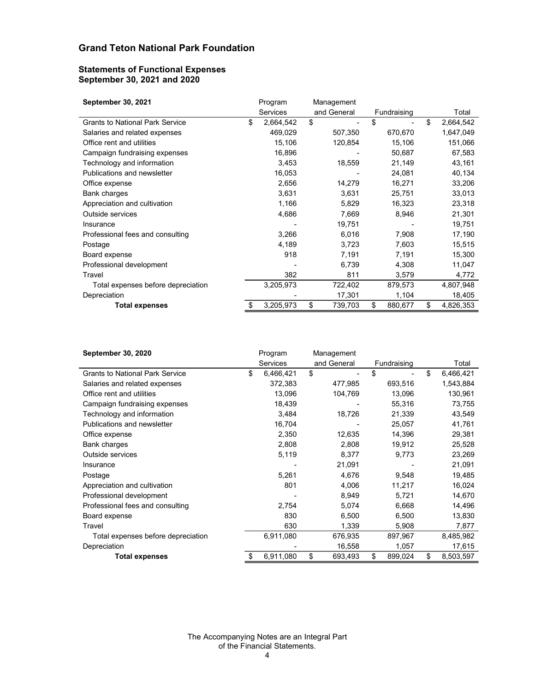#### Statements of Functional Expenses September 30, 2021 and 2020

| <b>Grand Teton National Park Foundation</b>  |                     |                                |               |                  |
|----------------------------------------------|---------------------|--------------------------------|---------------|------------------|
|                                              |                     |                                |               |                  |
| <b>Statements of Functional Expenses</b>     |                     |                                |               |                  |
| September 30, 2021 and 2020                  |                     |                                |               |                  |
|                                              |                     |                                |               |                  |
| September 30, 2021                           | Program             | Management                     |               |                  |
|                                              | Services            | and General                    | Fundraising   | Total            |
| <b>Grants to National Park Service</b>       | \$<br>2,664,542     | \$<br>$\blacksquare$           | \$<br>÷,      | \$<br>2,664,542  |
| Salaries and related expenses                | 469,029             | 507,350                        | 670,670       | 1,647,049        |
| Office rent and utilities                    | 15,106              | 120,854                        | 15,106        | 151,066          |
| Campaign fundraising expenses                | 16,896              | $\blacksquare$                 | 50,687        | 67,583           |
| Technology and information                   | 3,453               | 18,559                         | 21,149        | 43,161           |
| Publications and newsletter                  | 16,053              |                                | 24,081        | 40,134           |
| Office expense                               | 2,656               | 14,279                         | 16,271        | 33,206           |
|                                              | 3,631               | 3,631                          | 25,751        | 33,013           |
| Bank charges<br>Appreciation and cultivation | 1,166               | 5,829                          | 16,323        |                  |
| Outside services                             |                     |                                |               | 23,318           |
|                                              | 4,686               | 7,669                          | 8,946         | 21,301           |
| Insurance                                    |                     | 19,751                         |               | 19,751           |
| Professional fees and consulting             | 3,266               | 6,016                          | 7,908         | 17,190           |
| Postage                                      | 4,189               | 3,723                          | 7,603         | 15,515           |
| Board expense                                | 918                 | 7,191                          | 7,191         | 15,300           |
| Professional development                     |                     | 6,739                          | 4,308         | 11,047           |
| Travel                                       | 382                 | 811                            | 3,579         | 4,772            |
| Total expenses before depreciation           | 3,205,973           | 722,402                        | 879,573       | 4,807,948        |
| Depreciation                                 |                     | 17,301                         | 1,104         | 18,405           |
| <b>Total expenses</b>                        | 3,205,973           | \$<br>739,703                  | \$<br>880,677 | \$<br>4,826,353  |
|                                              |                     |                                |               |                  |
|                                              |                     |                                |               |                  |
| September 30, 2020                           | Program<br>Services | Management<br>and General      | Fundraising   | Total            |
| <b>Grants to National Park Service</b>       | 6,466,421<br>\$     | \$<br>$\overline{\phantom{a}}$ | \$<br>÷,      | \$<br>6,466,421  |
| Salaries and related expenses                | 372,383             | 477,985                        | 693,516       | 1,543,884        |
| Office rent and utilities                    | 13,096              | 104,769                        | 13,096        | 130,961          |
| Campaign fundraising expenses                | 18,439              |                                | 55,316        | 73,755           |
| Technology and information                   | 3,484               | 18,726                         | 21,339        | 43,549           |
| Publications and newsletter                  | 16,704              | ÷                              | 25,057        | 41,761           |
| Office expense                               | 2,350               | 12,635                         | 14,396        | 29,381           |
|                                              |                     |                                |               | 25,528           |
|                                              |                     |                                |               |                  |
| Bank charges                                 | 2,808               | 2,808                          | 19,912        |                  |
| Outside services<br>Insurance                | 5,119               | 8,377<br>21,091                | 9,773         | 23,269<br>21,091 |

| Durin viidiyoo                         |    | 0,00 i                   | 0,00 1                    | . ت ب                | 00,010          |
|----------------------------------------|----|--------------------------|---------------------------|----------------------|-----------------|
| Appreciation and cultivation           |    | 1,166                    | 5,829                     | 16,323               | 23,318          |
| Outside services                       |    | 4,686                    | 7,669                     | 8,946                | 21,301          |
| Insurance                              |    |                          | 19,751                    |                      | 19,751          |
| Professional fees and consulting       |    | 3,266                    | 6,016                     | 7,908                | 17,190          |
| Postage                                |    | 4,189                    | 3,723                     | 7,603                | 15,515          |
| Board expense                          |    | 918                      | 7,191                     | 7,191                | 15,300          |
| Professional development               |    |                          | 6,739                     | 4,308                | 11,047          |
| Travel                                 |    | 382                      | 811                       | 3,579                | 4,772           |
| Total expenses before depreciation     |    | 3,205,973                | 722,402                   | 879,573              | 4,807,948       |
| Depreciation                           |    | $\overline{a}$           | 17,301                    | 1,104                | 18,405          |
| <b>Total expenses</b>                  | \$ | 3,205,973                | \$<br>739,703             | \$<br>880,677        | \$<br>4,826,353 |
|                                        |    |                          |                           |                      |                 |
| <b>September 30, 2020</b>              |    | Program<br>Services      | Management<br>and General | Fundraising          | Total           |
| <b>Grants to National Park Service</b> | \$ | 6,466,421                | \$<br>$\blacksquare$      | \$<br>$\blacksquare$ | \$<br>6,466,421 |
| Salaries and related expenses          |    | 372,383                  | 477,985                   | 693,516              | 1,543,884       |
| Office rent and utilities              |    | 13,096                   | 104,769                   | 13,096               | 130,961         |
| Campaign fundraising expenses          |    | 18,439                   |                           | 55,316               | 73,755          |
| Technology and information             |    | 3,484                    | 18,726                    | 21,339               | 43,549          |
| Publications and newsletter            |    | 16,704                   |                           | 25,057               | 41,761          |
| Office expense                         |    | 2,350                    | 12,635                    | 14,396               | 29,381          |
| Bank charges                           |    | 2,808                    | 2,808                     | 19,912               | 25,528          |
| Outside services                       |    | 5,119                    | 8,377                     | 9,773                | 23,269          |
| Insurance                              |    |                          | 21,091                    |                      | 21,091          |
| Postage                                |    | 5,261                    | 4,676                     | 9,548                | 19,485          |
| Appreciation and cultivation           |    | 801                      | 4,006                     | 11,217               | 16,024          |
| Professional development               |    |                          | 8,949                     | 5,721                | 14,670          |
| Professional fees and consulting       |    | 2,754                    | 5,074                     | 6,668                | 14,496          |
| Board expense                          |    | 830                      | 6,500                     | 6,500                | 13,830          |
| Travel                                 |    | 630                      | 1,339                     | 5,908                | 7,877           |
| Total expenses before depreciation     |    | 6,911,080                | 676,935                   | 897,967              | 8,485,982       |
| Depreciation                           |    | $\overline{\phantom{a}}$ | 16,558                    | 1,057                | 17,615          |
|                                        | S  | 6,911,080                | \$<br>693,493             | \$<br>899,024        | \$<br>8,503,597 |
| <b>Total expenses</b>                  |    |                          |                           |                      |                 |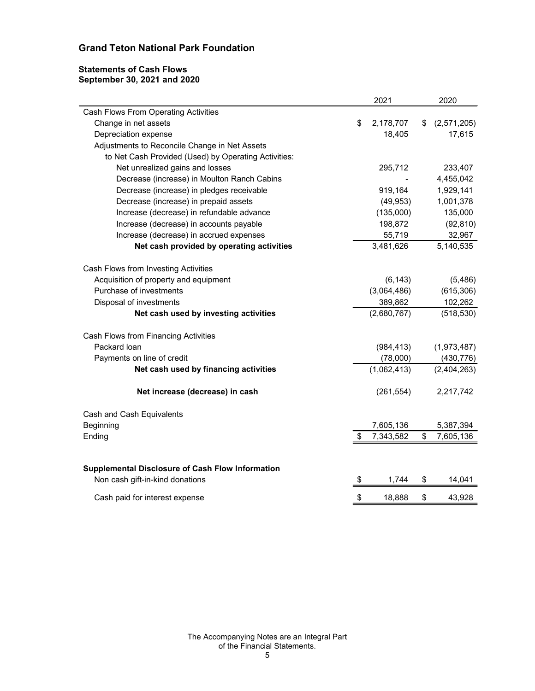## Statements of Cash Flows September 30, 2021 and 2020

| <b>Grand Teton National Park Foundation</b>          |                 |               |             |
|------------------------------------------------------|-----------------|---------------|-------------|
|                                                      |                 |               |             |
|                                                      |                 |               |             |
|                                                      |                 |               |             |
|                                                      |                 |               |             |
|                                                      |                 |               |             |
| <b>Statements of Cash Flows</b>                      |                 |               |             |
| September 30, 2021 and 2020                          |                 |               |             |
|                                                      | 2021            |               | 2020        |
| Cash Flows From Operating Activities                 |                 |               |             |
| Change in net assets                                 | 2,178,707<br>\$ | S.            | (2,571,205) |
| Depreciation expense                                 | 18,405          |               | 17,615      |
| Adjustments to Reconcile Change in Net Assets        |                 |               |             |
| to Net Cash Provided (Used) by Operating Activities: |                 |               |             |
| Net unrealized gains and losses                      | 295,712         |               | 233,407     |
| Decrease (increase) in Moulton Ranch Cabins          |                 |               | 4,455,042   |
| Decrease (increase) in pledges receivable            | 919,164         |               | 1,929,141   |
| Decrease (increase) in prepaid assets                | (49, 953)       |               | 1,001,378   |
| Increase (decrease) in refundable advance            | (135,000)       |               | 135,000     |
| Increase (decrease) in accounts payable              | 198,872         |               | (92, 810)   |
| Increase (decrease) in accrued expenses              | 55,719          |               | 32,967      |
| Net cash provided by operating activities            | 3,481,626       |               | 5,140,535   |
|                                                      |                 |               |             |
| Cash Flows from Investing Activities                 |                 |               |             |
| Acquisition of property and equipment                | (6, 143)        |               | (5, 486)    |
| Purchase of investments                              | (3,064,486)     |               | (615, 306)  |
| Disposal of investments                              | 389,862         |               | 102,262     |
| Net cash used by investing activities                | (2,680,767)     |               | (518, 530)  |
| Cash Flows from Financing Activities                 |                 |               |             |
| Packard loan                                         | (984, 413)      |               | (1,973,487) |
| Payments on line of credit                           | (78,000)        |               | (430, 776)  |
| Net cash used by financing activities                | (1,062,413)     |               | (2,404,263) |
|                                                      |                 |               |             |
| Net increase (decrease) in cash                      | (261, 554)      |               | 2,217,742   |
|                                                      |                 |               |             |
| Cash and Cash Equivalents                            |                 |               |             |
| Beginning                                            | 7,605,136       |               | 5,387,394   |
| Ending                                               | 7,343,582       | \$            | 7,605,136   |
|                                                      |                 |               |             |
| Supplemental Disclosure of Cash Flow Information     |                 |               |             |
| Non cash gift-in-kind donations                      | 1,744<br>\$     | \$            | 14,041      |
|                                                      |                 |               |             |
| Cash paid for interest expense                       | 18,888<br>S.    | $\frac{1}{2}$ | 43,928      |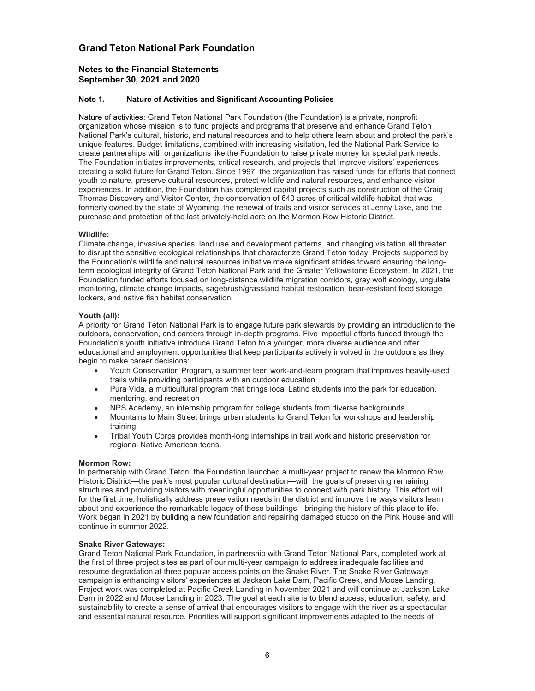#### Notes to the Financial Statements September 30, 2021 and 2020

#### Note 1. Nature of Activities and Significant Accounting Policies

Nature of activities: Grand Teton National Park Foundation (the Foundation) is a private, nonprofit organization whose mission is to fund projects and programs that preserve and enhance Grand Teton National Park's cultural, historic, and natural resources and to help others learn about and protect the park's unique features. Budget limitations, combined with increasing visitation, led the National Park Service to create partnerships with organizations like the Foundation to raise private money for special park needs. The Foundation initiates improvements, critical research, and projects that improve visitors' experiences, creating a solid future for Grand Teton. Since 1997, the organization has raised funds for efforts that connect youth to nature, preserve cultural resources, protect wildlife and natural resources, and enhance visitor experiences. In addition, the Foundation has completed capital projects such as construction of the Craig Thomas Discovery and Visitor Center, the conservation of 640 acres of critical wildlife habitat that was formerly owned by the state of Wyoming, the renewal of trails and visitor services at Jenny Lake, and the purchase and protection of the last privately-held acre on the Mormon Row Historic District.

#### Wildlife:

Climate change, invasive species, land use and development patterns, and changing visitation all threaten to disrupt the sensitive ecological relationships that characterize Grand Teton today. Projects supported by the Foundation's wildlife and natural resources initiative make significant strides toward ensuring the longterm ecological integrity of Grand Teton National Park and the Greater Yellowstone Ecosystem. In 2021, the Foundation funded efforts focused on long-distance wildlife migration corridors, gray wolf ecology, ungulate monitoring, climate change impacts, sagebrush/grassland habitat restoration, bear-resistant food storage lockers, and native fish habitat conservation.

#### Youth (all):

A priority for Grand Teton National Park is to engage future park stewards by providing an introduction to the outdoors, conservation, and careers through in-depth programs. Five impactful efforts funded through the Foundation's youth initiative introduce Grand Teton to a younger, more diverse audience and offer educational and employment opportunities that keep participants actively involved in the outdoors as they begin to make career decisions:

- Youth Conservation Program, a summer teen work-and-learn program that improves heavily-used trails while providing participants with an outdoor education
- Pura Vida, a multicultural program that brings local Latino students into the park for education, mentoring, and recreation
- NPS Academy, an internship program for college students from diverse backgrounds
- Mountains to Main Street brings urban students to Grand Teton for workshops and leadership training
- Tribal Youth Corps provides month-long internships in trail work and historic preservation for regional Native American teens.

#### Mormon Row:

In partnership with Grand Teton, the Foundation launched a multi-year project to renew the Mormon Row Historic District—the park's most popular cultural destination—with the goals of preserving remaining structures and providing visitors with meaningful opportunities to connect with park history. This effort will, for the first time, holistically address preservation needs in the district and improve the ways visitors learn about and experience the remarkable legacy of these buildings—bringing the history of this place to life. Work began in 2021 by building a new foundation and repairing damaged stucco on the Pink House and will continue in summer 2022.

#### Snake River Gateways:

Grand Teton National Park Foundation, in partnership with Grand Teton National Park, completed work at the first of three project sites as part of our multi-year campaign to address inadequate facilities and resource degradation at three popular access points on the Snake River. The Snake River Gateways campaign is enhancing visitors' experiences at Jackson Lake Dam, Pacific Creek, and Moose Landing. Project work was completed at Pacific Creek Landing in November 2021 and will continue at Jackson Lake Dam in 2022 and Moose Landing in 2023. The goal at each site is to blend access, education, safety, and sustainability to create a sense of arrival that encourages visitors to engage with the river as a spectacular and essential natural resource. Priorities will support significant improvements adapted to the needs of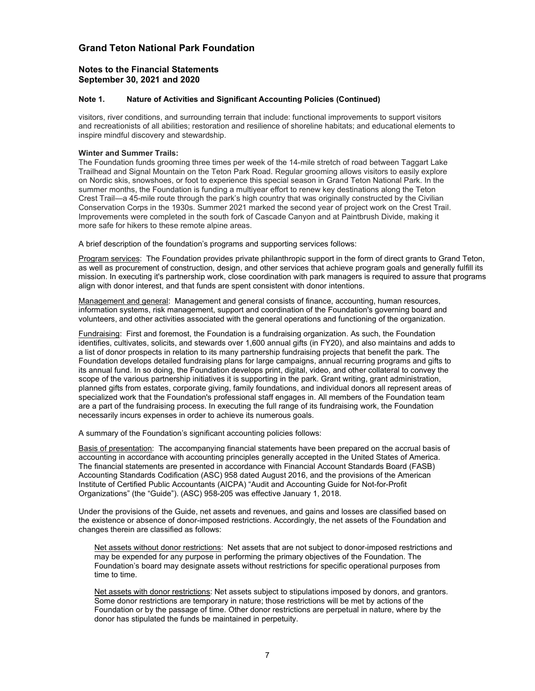#### Notes to the Financial Statements September 30, 2021 and 2020

#### Note 1. Nature of Activities and Significant Accounting Policies (Continued)

visitors, river conditions, and surrounding terrain that include: functional improvements to support visitors and recreationists of all abilities; restoration and resilience of shoreline habitats; and educational elements to inspire mindful discovery and stewardship.

#### Winter and Summer Trails:

The Foundation funds grooming three times per week of the 14-mile stretch of road between Taggart Lake Trailhead and Signal Mountain on the Teton Park Road. Regular grooming allows visitors to easily explore on Nordic skis, snowshoes, or foot to experience this special season in Grand Teton National Park. In the summer months, the Foundation is funding a multiyear effort to renew key destinations along the Teton Crest Trail—a 45-mile route through the park's high country that was originally constructed by the Civilian Conservation Corps in the 1930s. Summer 2021 marked the second year of project work on the Crest Trail. Improvements were completed in the south fork of Cascade Canyon and at Paintbrush Divide, making it more safe for hikers to these remote alpine areas.

A brief description of the foundation's programs and supporting services follows:

Program services: The Foundation provides private philanthropic support in the form of direct grants to Grand Teton, as well as procurement of construction, design, and other services that achieve program goals and generally fulfill its mission. In executing it's partnership work, close coordination with park managers is required to assure that programs align with donor interest, and that funds are spent consistent with donor intentions.

Management and general: Management and general consists of finance, accounting, human resources, information systems, risk management, support and coordination of the Foundation's governing board and volunteers, and other activities associated with the general operations and functioning of the organization.

Fundraising: First and foremost, the Foundation is a fundraising organization. As such, the Foundation identifies, cultivates, solicits, and stewards over 1,600 annual gifts (in FY20), and also maintains and adds to a list of donor prospects in relation to its many partnership fundraising projects that benefit the park. The Foundation develops detailed fundraising plans for large campaigns, annual recurring programs and gifts to its annual fund. In so doing, the Foundation develops print, digital, video, and other collateral to convey the scope of the various partnership initiatives it is supporting in the park. Grant writing, grant administration, planned gifts from estates, corporate giving, family foundations, and individual donors all represent areas of specialized work that the Foundation's professional staff engages in. All members of the Foundation team are a part of the fundraising process. In executing the full range of its fundraising work, the Foundation necessarily incurs expenses in order to achieve its numerous goals.

A summary of the Foundation's significant accounting policies follows:

Basis of presentation: The accompanying financial statements have been prepared on the accrual basis of accounting in accordance with accounting principles generally accepted in the United States of America. The financial statements are presented in accordance with Financial Account Standards Board (FASB) Accounting Standards Codification (ASC) 958 dated August 2016, and the provisions of the American Institute of Certified Public Accountants (AICPA) "Audit and Accounting Guide for Not-for-Profit Organizations" (the "Guide"). (ASC) 958-205 was effective January 1, 2018.

Under the provisions of the Guide, net assets and revenues, and gains and losses are classified based on the existence or absence of donor-imposed restrictions. Accordingly, the net assets of the Foundation and changes therein are classified as follows:

Net assets without donor restrictions: Net assets that are not subject to donor-imposed restrictions and may be expended for any purpose in performing the primary objectives of the Foundation. The Foundation's board may designate assets without restrictions for specific operational purposes from time to time.

Net assets with donor restrictions: Net assets subject to stipulations imposed by donors, and grantors. Some donor restrictions are temporary in nature; those restrictions will be met by actions of the Foundation or by the passage of time. Other donor restrictions are perpetual in nature, where by the donor has stipulated the funds be maintained in perpetuity.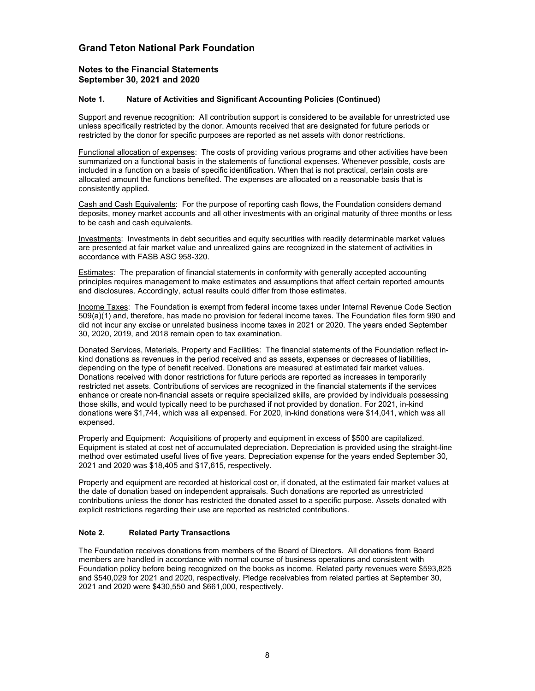#### Notes to the Financial Statements September 30, 2021 and 2020

#### Note 1. Nature of Activities and Significant Accounting Policies (Continued)

Support and revenue recognition: All contribution support is considered to be available for unrestricted use unless specifically restricted by the donor. Amounts received that are designated for future periods or restricted by the donor for specific purposes are reported as net assets with donor restrictions.

Functional allocation of expenses: The costs of providing various programs and other activities have been summarized on a functional basis in the statements of functional expenses. Whenever possible, costs are included in a function on a basis of specific identification. When that is not practical, certain costs are allocated amount the functions benefited. The expenses are allocated on a reasonable basis that is consistently applied.

Cash and Cash Equivalents: For the purpose of reporting cash flows, the Foundation considers demand deposits, money market accounts and all other investments with an original maturity of three months or less to be cash and cash equivalents.

Investments: Investments in debt securities and equity securities with readily determinable market values are presented at fair market value and unrealized gains are recognized in the statement of activities in accordance with FASB ASC 958-320.

**Estimates:** The preparation of financial statements in conformity with generally accepted accounting principles requires management to make estimates and assumptions that affect certain reported amounts and disclosures. Accordingly, actual results could differ from those estimates.

Income Taxes: The Foundation is exempt from federal income taxes under Internal Revenue Code Section 509(a)(1) and, therefore, has made no provision for federal income taxes. The Foundation files form 990 and did not incur any excise or unrelated business income taxes in 2021 or 2020. The years ended September 30, 2020, 2019, and 2018 remain open to tax examination.

Donated Services, Materials, Property and Facilities: The financial statements of the Foundation reflect inkind donations as revenues in the period received and as assets, expenses or decreases of liabilities, depending on the type of benefit received. Donations are measured at estimated fair market values. Donations received with donor restrictions for future periods are reported as increases in temporarily restricted net assets. Contributions of services are recognized in the financial statements if the services enhance or create non-financial assets or require specialized skills, are provided by individuals possessing those skills, and would typically need to be purchased if not provided by donation. For 2021, in-kind donations were \$1,744, which was all expensed. For 2020, in-kind donations were \$14,041, which was all expensed.

Property and Equipment: Acquisitions of property and equipment in excess of \$500 are capitalized. Equipment is stated at cost net of accumulated depreciation. Depreciation is provided using the straight-line method over estimated useful lives of five years. Depreciation expense for the years ended September 30, 2021 and 2020 was \$18,405 and \$17,615, respectively.

Property and equipment are recorded at historical cost or, if donated, at the estimated fair market values at the date of donation based on independent appraisals. Such donations are reported as unrestricted contributions unless the donor has restricted the donated asset to a specific purpose. Assets donated with explicit restrictions regarding their use are reported as restricted contributions.

#### Note 2. Related Party Transactions

The Foundation receives donations from members of the Board of Directors. All donations from Board members are handled in accordance with normal course of business operations and consistent with Foundation policy before being recognized on the books as income. Related party revenues were \$593,825 and \$540,029 for 2021 and 2020, respectively. Pledge receivables from related parties at September 30, 2021 and 2020 were \$430,550 and \$661,000, respectively.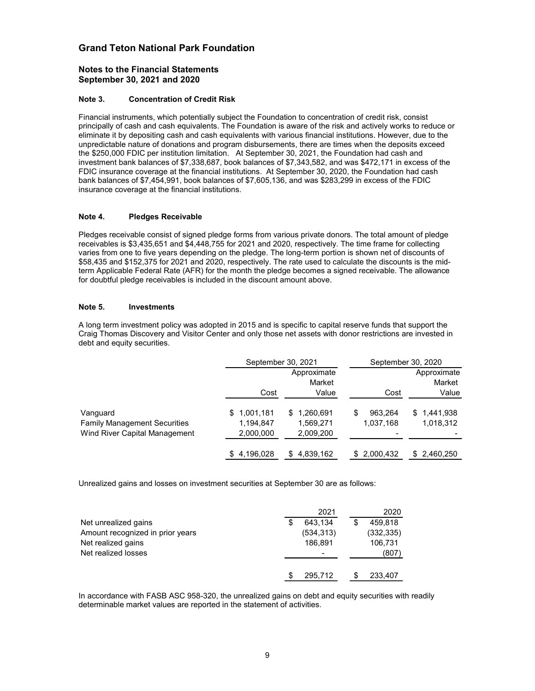#### Notes to the Financial Statements September 30, 2021 and 2020

#### Note 3. Concentration of Credit Risk

Financial instruments, which potentially subject the Foundation to concentration of credit risk, consist principally of cash and cash equivalents. The Foundation is aware of the risk and actively works to reduce or eliminate it by depositing cash and cash equivalents with various financial institutions. However, due to the unpredictable nature of donations and program disbursements, there are times when the deposits exceed the \$250,000 FDIC per institution limitation. At September 30, 2021, the Foundation had cash and investment bank balances of \$7,338,687, book balances of \$7,343,582, and was \$472,171 in excess of the FDIC insurance coverage at the financial institutions. At September 30, 2020, the Foundation had cash bank balances of \$7,454,991, book balances of \$7,605,136, and was \$283,299 in excess of the FDIC insurance coverage at the financial institutions.

#### Note 4. Pledges Receivable

#### Note 5. Investments

| eliminate it by depositing cash and cash equivalents with various financial institutions. However, due to the<br>unpredictable nature of donations and program disbursements, there are times when the deposits exceed<br>the \$250,000 FDIC per institution limitation. At September 30, 2021, the Foundation had cash and<br>investment bank balances of \$7,338,687, book balances of \$7,343,582, and was \$472,171 in excess of the<br>FDIC insurance coverage at the financial institutions. At September 30, 2020, the Foundation had cash<br>bank balances of \$7,454,991, book balances of \$7,605,136, and was \$283,299 in excess of the FDIC<br>insurance coverage at the financial institutions. |                                       |                                           |                             |                                |
|---------------------------------------------------------------------------------------------------------------------------------------------------------------------------------------------------------------------------------------------------------------------------------------------------------------------------------------------------------------------------------------------------------------------------------------------------------------------------------------------------------------------------------------------------------------------------------------------------------------------------------------------------------------------------------------------------------------|---------------------------------------|-------------------------------------------|-----------------------------|--------------------------------|
| Note 4.<br><b>Pledges Receivable</b>                                                                                                                                                                                                                                                                                                                                                                                                                                                                                                                                                                                                                                                                          |                                       |                                           |                             |                                |
| Pledges receivable consist of signed pledge forms from various private donors. The total amount of pledge<br>receivables is \$3,435,651 and \$4,448,755 for 2021 and 2020, respectively. The time frame for collecting<br>varies from one to five years depending on the pledge. The long-term portion is shown net of discounts of<br>\$58,435 and \$152,375 for 2021 and 2020, respectively. The rate used to calculate the discounts is the mid-<br>term Applicable Federal Rate (AFR) for the month the pledge becomes a signed receivable. The allowance<br>for doubtful pledge receivables is included in the discount amount above.                                                                    |                                       |                                           |                             |                                |
| Note 5.<br><b>Investments</b>                                                                                                                                                                                                                                                                                                                                                                                                                                                                                                                                                                                                                                                                                 |                                       |                                           |                             |                                |
| A long term investment policy was adopted in 2015 and is specific to capital reserve funds that support the<br>Craig Thomas Discovery and Visitor Center and only those net assets with donor restrictions are invested in<br>debt and equity securities.                                                                                                                                                                                                                                                                                                                                                                                                                                                     |                                       |                                           |                             |                                |
|                                                                                                                                                                                                                                                                                                                                                                                                                                                                                                                                                                                                                                                                                                               | September 30, 2021                    |                                           | September 30, 2020          |                                |
|                                                                                                                                                                                                                                                                                                                                                                                                                                                                                                                                                                                                                                                                                                               | Cost                                  | Approximate<br>Market<br>Value            | Cost                        | Approximate<br>Market<br>Value |
| Vanguard<br><b>Family Management Securities</b><br>Wind River Capital Management                                                                                                                                                                                                                                                                                                                                                                                                                                                                                                                                                                                                                              | \$1,001,181<br>1,194,847<br>2,000,000 | \$1,260,691<br>1,569,271<br>2,009,200     | 963,264<br>1,037,168        | \$1,441,938<br>1,018,312       |
|                                                                                                                                                                                                                                                                                                                                                                                                                                                                                                                                                                                                                                                                                                               | \$4,196,028                           | \$4,839,162                               | \$2,000,432                 | \$ 2,460,250                   |
| Unrealized gains and losses on investment securities at September 30 are as follows:                                                                                                                                                                                                                                                                                                                                                                                                                                                                                                                                                                                                                          |                                       |                                           |                             |                                |
|                                                                                                                                                                                                                                                                                                                                                                                                                                                                                                                                                                                                                                                                                                               |                                       | 2021                                      | 2020                        |                                |
| Net unrealized gains<br>Amount recognized in prior years                                                                                                                                                                                                                                                                                                                                                                                                                                                                                                                                                                                                                                                      |                                       | $\overline{6}$ 43,134<br>\$<br>(534, 313) | 459,818<br>\$<br>(332, 335) |                                |
| Net realized gains                                                                                                                                                                                                                                                                                                                                                                                                                                                                                                                                                                                                                                                                                            |                                       | 186,891                                   | 106,731                     |                                |
| Net realized losses                                                                                                                                                                                                                                                                                                                                                                                                                                                                                                                                                                                                                                                                                           |                                       |                                           | (807)                       |                                |
|                                                                                                                                                                                                                                                                                                                                                                                                                                                                                                                                                                                                                                                                                                               |                                       | 295,712<br>\$                             | 233,407<br>\$               |                                |
| In accordance with FASB ASC 958-320, the unrealized gains on debt and equity securities with readily<br>determinable market values are reported in the statement of activities.                                                                                                                                                                                                                                                                                                                                                                                                                                                                                                                               |                                       |                                           |                             |                                |

|                                  | 2021       | 2020       |
|----------------------------------|------------|------------|
| Net unrealized gains             | 643.134    | 459.818    |
| Amount recognized in prior years | (534, 313) | (332, 335) |
| Net realized gains               | 186.891    | 106,731    |
| Net realized losses              |            | (807)      |
|                                  | 295.712    | 233,407    |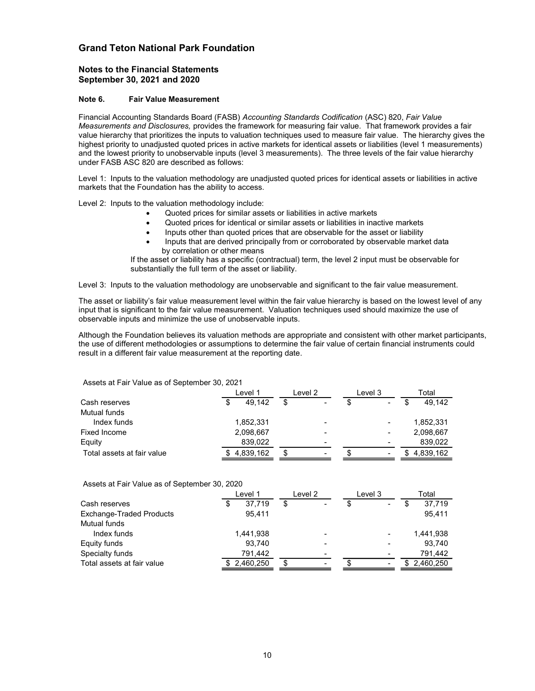#### Notes to the Financial Statements September 30, 2021 and 2020

#### Note 6. Fair Value Measurement

Financial Accounting Standards Board (FASB) Accounting Standards Codification (ASC) 820, Fair Value Measurements and Disclosures, provides the framework for measuring fair value. That framework provides a fair value hierarchy that prioritizes the inputs to valuation techniques used to measure fair value. The hierarchy gives the highest priority to unadjusted quoted prices in active markets for identical assets or liabilities (level 1 measurements) and the lowest priority to unobservable inputs (level 3 measurements). The three levels of the fair value hierarchy under FASB ASC 820 are described as follows:

- Quoted prices for similar assets or liabilities in active markets
- Quoted prices for identical or similar assets or liabilities in inactive markets
- Inputs other than quoted prices that are observable for the asset or liability
- Inputs that are derived principally from or corroborated by observable market data by correlation or other means

| Level 1: Inputs to the valuation methodology are unadjusted quoted prices for identical assets or liabilities in active                                                                                                                                                                                      |                                                                                                                                                                                                                                                                                                                                                                                                                                                                                                                                   |         |         |                        |  |
|--------------------------------------------------------------------------------------------------------------------------------------------------------------------------------------------------------------------------------------------------------------------------------------------------------------|-----------------------------------------------------------------------------------------------------------------------------------------------------------------------------------------------------------------------------------------------------------------------------------------------------------------------------------------------------------------------------------------------------------------------------------------------------------------------------------------------------------------------------------|---------|---------|------------------------|--|
| markets that the Foundation has the ability to access.                                                                                                                                                                                                                                                       |                                                                                                                                                                                                                                                                                                                                                                                                                                                                                                                                   |         |         |                        |  |
| Level 2: Inputs to the valuation methodology include:                                                                                                                                                                                                                                                        | Quoted prices for similar assets or liabilities in active markets<br>Quoted prices for identical or similar assets or liabilities in inactive markets<br>Inputs other than quoted prices that are observable for the asset or liability<br>Inputs that are derived principally from or corroborated by observable market data<br>by correlation or other means<br>If the asset or liability has a specific (contractual) term, the level 2 input must be observable for<br>substantially the full term of the asset or liability. |         |         |                        |  |
| Level 3: Inputs to the valuation methodology are unobservable and significant to the fair value measurement.                                                                                                                                                                                                 |                                                                                                                                                                                                                                                                                                                                                                                                                                                                                                                                   |         |         |                        |  |
| The asset or liability's fair value measurement level within the fair value hierarchy is based on the lowest level of any<br>input that is significant to the fair value measurement. Valuation techniques used should maximize the use of<br>observable inputs and minimize the use of unobservable inputs. |                                                                                                                                                                                                                                                                                                                                                                                                                                                                                                                                   |         |         |                        |  |
| the use of different methodologies or assumptions to determine the fair value of certain financial instruments could<br>result in a different fair value measurement at the reporting date.                                                                                                                  |                                                                                                                                                                                                                                                                                                                                                                                                                                                                                                                                   |         |         |                        |  |
| Assets at Fair Value as of September 30, 2021                                                                                                                                                                                                                                                                |                                                                                                                                                                                                                                                                                                                                                                                                                                                                                                                                   |         |         |                        |  |
|                                                                                                                                                                                                                                                                                                              | Level 1                                                                                                                                                                                                                                                                                                                                                                                                                                                                                                                           | Level 2 | Level 3 | Total                  |  |
| Cash reserves                                                                                                                                                                                                                                                                                                | 49.142                                                                                                                                                                                                                                                                                                                                                                                                                                                                                                                            |         |         | 49.142                 |  |
| Mutual funds                                                                                                                                                                                                                                                                                                 |                                                                                                                                                                                                                                                                                                                                                                                                                                                                                                                                   |         |         |                        |  |
| Index funds                                                                                                                                                                                                                                                                                                  | 1,852,331                                                                                                                                                                                                                                                                                                                                                                                                                                                                                                                         |         |         | 1,852,331              |  |
| Fixed Income                                                                                                                                                                                                                                                                                                 | 2,098,667                                                                                                                                                                                                                                                                                                                                                                                                                                                                                                                         |         |         | 2,098,667              |  |
| Equity<br>Total assets at fair value                                                                                                                                                                                                                                                                         | 839,022<br>4,839,162                                                                                                                                                                                                                                                                                                                                                                                                                                                                                                              | \$      | \$      | 839,022<br>\$4,839,162 |  |
| Assets at Fair Value as of September 30, 2020                                                                                                                                                                                                                                                                |                                                                                                                                                                                                                                                                                                                                                                                                                                                                                                                                   |         |         |                        |  |
|                                                                                                                                                                                                                                                                                                              | Level 1                                                                                                                                                                                                                                                                                                                                                                                                                                                                                                                           | Level 2 | Level 3 | Total                  |  |
| Cash reserves                                                                                                                                                                                                                                                                                                | 37,719                                                                                                                                                                                                                                                                                                                                                                                                                                                                                                                            | \$      |         | 37,719<br>\$           |  |
| <b>Exchange-Traded Products</b>                                                                                                                                                                                                                                                                              | 95,411                                                                                                                                                                                                                                                                                                                                                                                                                                                                                                                            |         |         | 95,411                 |  |
| Mutual funds<br>Index funds                                                                                                                                                                                                                                                                                  |                                                                                                                                                                                                                                                                                                                                                                                                                                                                                                                                   |         |         |                        |  |
| Equity funds                                                                                                                                                                                                                                                                                                 | 1,441,938<br>93,740                                                                                                                                                                                                                                                                                                                                                                                                                                                                                                               |         |         | 1,441,938<br>93,740    |  |

| Lever 5. Tripuls to the valuation methodology are unobservable and significant to the fail value measurement.                                                                                                                                                                                                        |              |         |         |              |
|----------------------------------------------------------------------------------------------------------------------------------------------------------------------------------------------------------------------------------------------------------------------------------------------------------------------|--------------|---------|---------|--------------|
| The asset or liability's fair value measurement level within the fair value hierarchy is based on the lowest level of any<br>input that is significant to the fair value measurement. Valuation techniques used should maximize the use of<br>observable inputs and minimize the use of unobservable inputs.         |              |         |         |              |
| Although the Foundation believes its valuation methods are appropriate and consistent with other market participants,<br>the use of different methodologies or assumptions to determine the fair value of certain financial instruments could<br>result in a different fair value measurement at the reporting date. |              |         |         |              |
| Assets at Fair Value as of September 30, 2021                                                                                                                                                                                                                                                                        |              |         |         |              |
|                                                                                                                                                                                                                                                                                                                      | Level 1      | Level 2 | Level 3 | Total        |
| Cash reserves                                                                                                                                                                                                                                                                                                        | 49,142<br>\$ | \$      | \$      | \$<br>49,142 |
| Mutual funds                                                                                                                                                                                                                                                                                                         |              |         |         |              |
| Index funds                                                                                                                                                                                                                                                                                                          | 1,852,331    |         |         | 1,852,331    |
| <b>Fixed Income</b>                                                                                                                                                                                                                                                                                                  | 2,098,667    |         |         | 2,098,667    |
| Equity                                                                                                                                                                                                                                                                                                               | 839,022      |         |         | 839,022      |
| Total assets at fair value                                                                                                                                                                                                                                                                                           | \$4,839,162  | \$      | \$      | \$4,839,162  |
| Assets at Fair Value as of September 30, 2020                                                                                                                                                                                                                                                                        |              |         |         |              |
|                                                                                                                                                                                                                                                                                                                      | Level 1      | Level 2 | Level 3 | Total        |
| Cash reserves                                                                                                                                                                                                                                                                                                        | \$<br>37,719 | \$      | \$      | \$<br>37,719 |
| <b>Exchange-Traded Products</b>                                                                                                                                                                                                                                                                                      | 95,411       |         |         | 95,411       |
| Mutual funds                                                                                                                                                                                                                                                                                                         |              |         |         |              |
| Index funds                                                                                                                                                                                                                                                                                                          | 1,441,938    |         |         | 1,441,938    |
| Equity funds                                                                                                                                                                                                                                                                                                         | 93,740       |         |         | 93,740       |
| Specialty funds                                                                                                                                                                                                                                                                                                      | 791,442      |         |         | 791,442      |
|                                                                                                                                                                                                                                                                                                                      | 2,460,250    | \$      | \$      | \$2,460,250  |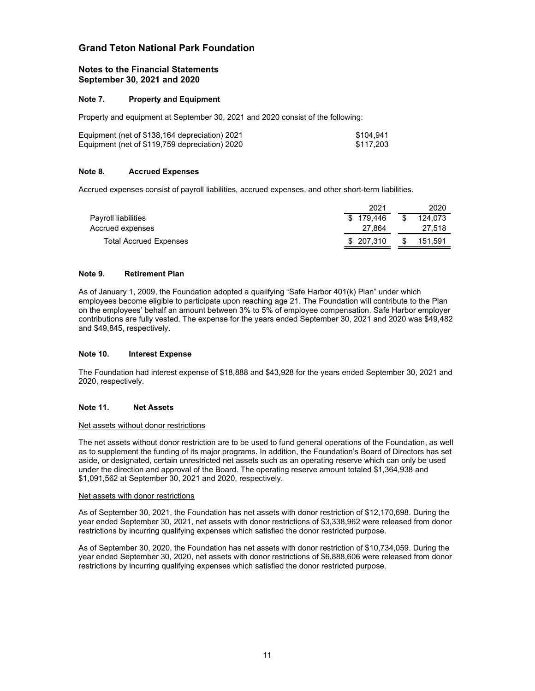#### Notes to the Financial Statements September 30, 2021 and 2020

#### Note 7. Property and Equipment

| Equipment (net of \$138,164 depreciation) 2021 | \$104.941 |
|------------------------------------------------|-----------|
| Equipment (net of \$119,759 depreciation) 2020 | \$117.203 |

#### Note 8. Accrued Expenses

|       | and Teton National Park Foundation                                                                 |                                   |                           |  |
|-------|----------------------------------------------------------------------------------------------------|-----------------------------------|---------------------------|--|
|       | tes to the Financial Statements<br>ptember 30, 2021 and 2020                                       |                                   |                           |  |
| te 7. | <b>Property and Equipment</b>                                                                      |                                   |                           |  |
|       | operty and equipment at September 30, 2021 and 2020 consist of the following:                      |                                   |                           |  |
|       | uipment (net of \$138,164 depreciation) 2021<br>uipment (net of \$119,759 depreciation) 2020       | \$104,941<br>\$117,203            |                           |  |
| te 8. | <b>Accrued Expenses</b>                                                                            |                                   |                           |  |
|       | crued expenses consist of payroll liabilities, accrued expenses, and other short-term liabilities. |                                   |                           |  |
|       | Payroll liabilities<br>Accrued expenses                                                            | 2021<br>\$179,446<br>\$<br>27,864 | 2020<br>124,073<br>27,518 |  |
|       | <b>Total Accrued Expenses</b>                                                                      | \$207,310<br>S                    | 151,591                   |  |

#### Note 9. Retirement Plan

As of January 1, 2009, the Foundation adopted a qualifying "Safe Harbor 401(k) Plan" under which employees become eligible to participate upon reaching age 21. The Foundation will contribute to the Plan on the employees' behalf an amount between 3% to 5% of employee compensation. Safe Harbor employer contributions are fully vested. The expense for the years ended September 30, 2021 and 2020 was \$49,482 and \$49,845, respectively.

#### Note 10. Interest Expense

The Foundation had interest expense of \$18,888 and \$43,928 for the years ended September 30, 2021 and 2020, respectively.

#### Note 11. Net Assets

#### Net assets without donor restrictions

The net assets without donor restriction are to be used to fund general operations of the Foundation, as well as to supplement the funding of its major programs. In addition, the Foundation's Board of Directors has set aside, or designated, certain unrestricted net assets such as an operating reserve which can only be used under the direction and approval of the Board. The operating reserve amount totaled \$1,364,938 and \$1,091,562 at September 30, 2021 and 2020, respectively.

#### Net assets with donor restrictions

As of September 30, 2021, the Foundation has net assets with donor restriction of \$12,170,698. During the year ended September 30, 2021, net assets with donor restrictions of \$3,338,962 were released from donor restrictions by incurring qualifying expenses which satisfied the donor restricted purpose.

As of September 30, 2020, the Foundation has net assets with donor restriction of \$10,734,059. During the year ended September 30, 2020, net assets with donor restrictions of \$6,888,606 were released from donor restrictions by incurring qualifying expenses which satisfied the donor restricted purpose.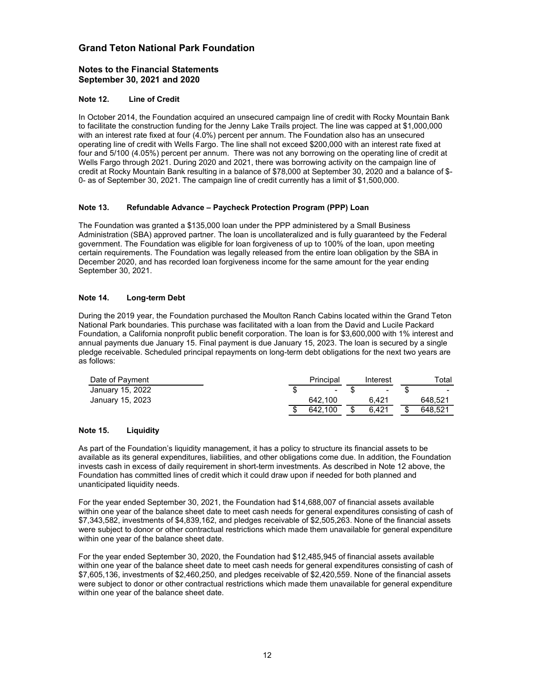#### Notes to the Financial Statements September 30, 2021 and 2020

#### Note 12. Line of Credit

In October 2014, the Foundation acquired an unsecured campaign line of credit with Rocky Mountain Bank to facilitate the construction funding for the Jenny Lake Trails project. The line was capped at \$1,000,000 with an interest rate fixed at four (4.0%) percent per annum. The Foundation also has an unsecured operating line of credit with Wells Fargo. The line shall not exceed \$200,000 with an interest rate fixed at four and 5/100 (4.05%) percent per annum. There was not any borrowing on the operating line of credit at Wells Fargo through 2021. During 2020 and 2021, there was borrowing activity on the campaign line of credit at Rocky Mountain Bank resulting in a balance of \$78,000 at September 30, 2020 and a balance of \$- 0- as of September 30, 2021. The campaign line of credit currently has a limit of \$1,500,000.

#### Note 13. Refundable Advance – Paycheck Protection Program (PPP) Loan

The Foundation was granted a \$135,000 loan under the PPP administered by a Small Business Administration (SBA) approved partner. The loan is uncollateralized and is fully guaranteed by the Federal government. The Foundation was eligible for loan forgiveness of up to 100% of the loan, upon meeting certain requirements. The Foundation was legally released from the entire loan obligation by the SBA in December 2020, and has recorded loan forgiveness income for the same amount for the year ending September 30, 2021. and 5/100 (4.05%) percent per annum. There was not any borowing on the operating line of credit at Rocky Mountain Bank borowing activity on the campaign line of<br>its Faygo through 2021. During 2020 and 2021, there was borro Is Pargo Imough 2021. Dumng 2020 and 2021, there was formoving activity on the campaign line of the star of \$1,500,000.<br>Birls are of the star of \$1,500 and 2021, the campaign line of creative of \$1,500 and a balance of \$-Link rtwx, y mountain paint is a twistle with a properties of the Sylematies of the Sylematic Correct Control and the Control and the Control and the Control and the Control and the Foundation was granted a \$135,000 loan u

#### Note 14. Long-term Debt

During the 2019 year, the Foundation purchased the Moulton Ranch Cabins located within the Grand Teton National Park boundaries. This purchase was facilitated with a loan from the David and Lucile Packard Foundation, a California nonprofit public benefit corporation. The loan is for \$3,600,000 with 1% interest and annual payments due January 15. Final payment is due January 15, 2023. The loan is secured by a single pledge receivable. Scheduled principal repayments on long-term debt obligations for the next two years are as follows:

| Date of Payment  | Principal | Interest                 | Total                    |
|------------------|-----------|--------------------------|--------------------------|
| January 15, 2022 | $\sim$    | $\overline{\phantom{a}}$ | $\overline{\phantom{a}}$ |
| January 15, 2023 | 642.100   | 6.421                    | 648.521                  |
|                  | 642.100   | \$<br>6.421              | 648.521                  |

#### Note 15. Liquidity

As part of the Foundation's liquidity management, it has a policy to structure its financial assets to be available as its general expenditures, liabilities, and other obligations come due. In addition, the Foundation invests cash in excess of daily requirement in short-term investments. As described in Note 12 above, the Foundation has committed lines of credit which it could draw upon if needed for both planned and unanticipated liquidity needs.

For the year ended September 30, 2021, the Foundation had \$14,688,007 of financial assets available within one year of the balance sheet date to meet cash needs for general expenditures consisting of cash of \$7,343,582, investments of \$4,839,162, and pledges receivable of \$2,505,263. None of the financial assets were subject to donor or other contractual restrictions which made them unavailable for general expenditure within one year of the balance sheet date.

For the year ended September 30, 2020, the Foundation had \$12,485,945 of financial assets available within one year of the balance sheet date to meet cash needs for general expenditures consisting of cash of \$7,605,136, investments of \$2,460,250, and pledges receivable of \$2,420,559. None of the financial assets were subject to donor or other contractual restrictions which made them unavailable for general expenditure within one year of the balance sheet date.